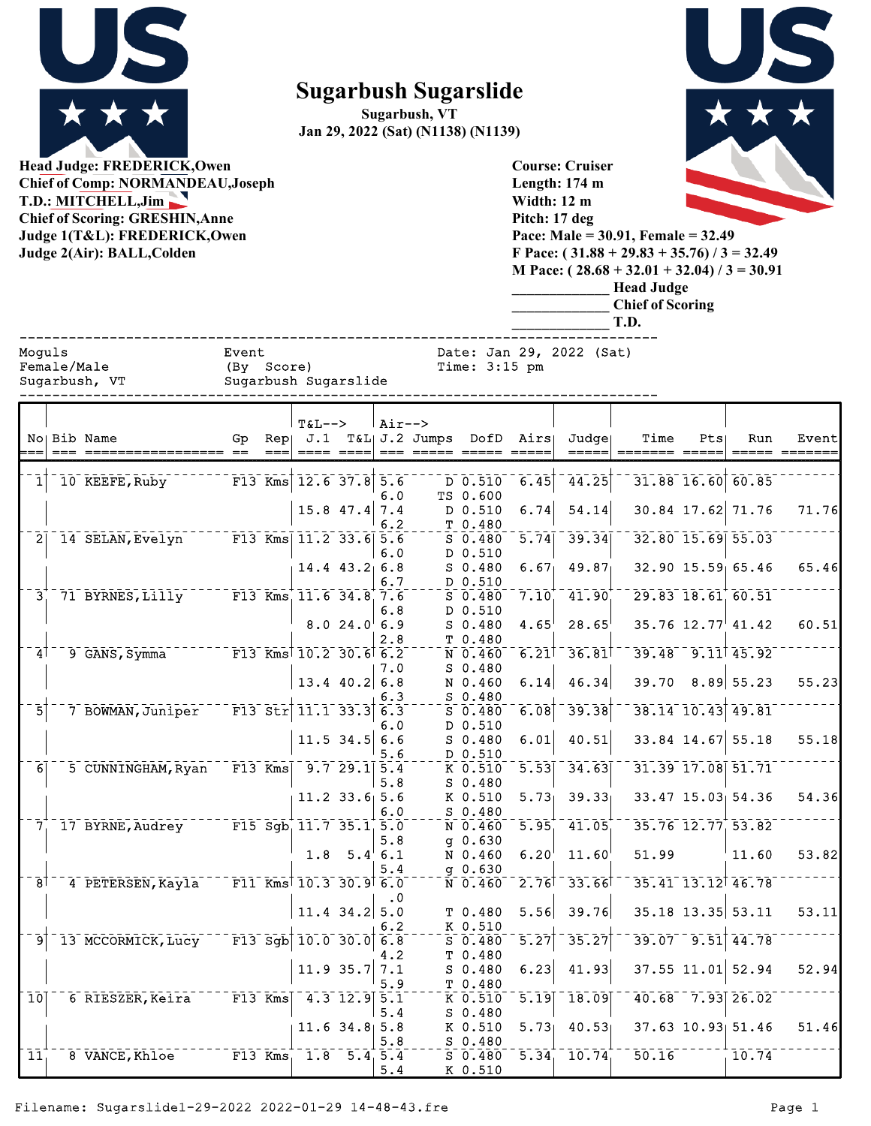

**Sugarbush Sugarslide**

**Sugarbush, VT Jan 29, 2022 (Sat) (N1138) (N1139)**

> **Course: Cruiser Length: 174 m Width: 12 m**



**Head Judge: FREDERICK,Owen Chief of Comp: NORMANDEAU,Joseph T.D.: MITCHELL,Jim Chief of Scoring: GRESHIN Anne Judge 1(T Judge 2(A** 

| <b>Chief of Scoring: GRESHIN, Anne</b><br>Judge 1(T&L): FREDERICK, Owen<br>Judge 2(Air): BALL, Colden |  |                              |                                                    |     |          |                           |                   |                    |                                      |                        | Pitch: 17 deg<br>Pace: Male = $30.91$ , Female = $32.49$<br>F Pace: $(31.88 + 29.83 + 35.76)$ / 3 = 32.49<br>M Pace: $(28.68 + 32.01 + 32.04) / 3 = 30.91$<br><b>Head Judge</b><br><b>Chief of Scoring</b><br>T.D. |       |     |                                                                          |       |  |  |  |  |
|-------------------------------------------------------------------------------------------------------|--|------------------------------|----------------------------------------------------|-----|----------|---------------------------|-------------------|--------------------|--------------------------------------|------------------------|--------------------------------------------------------------------------------------------------------------------------------------------------------------------------------------------------------------------|-------|-----|--------------------------------------------------------------------------|-------|--|--|--|--|
| Moguls                                                                                                |  | Female/Male<br>Sugarbush, VT | Event<br>(By Score)<br>Sugarbush Sugarslide        |     |          |                           |                   |                    | Time: $3:15$ pm                      |                        | Date: Jan 29, 2022 (Sat)                                                                                                                                                                                           |       |     |                                                                          |       |  |  |  |  |
|                                                                                                       |  | No Bib Name                  | Gp                                                 | Rep | $T&L-->$ |                           | $Air--$           | J.1 T&L  J.2 Jumps |                                      | DofD Airs              | Judge                                                                                                                                                                                                              | Time  | Pts | Run                                                                      | Event |  |  |  |  |
|                                                                                                       |  | 10 KEEFE, Ruby               | $F13$ Kms $12.6$ 37.8 5.6                          |     |          |                           |                   |                    | D 0.510<br>TS 0.600                  | 6.45                   | 44.25                                                                                                                                                                                                              |       |     | 31.88 16.60 60.85                                                        |       |  |  |  |  |
|                                                                                                       |  |                              |                                                    |     |          | 15.8 47.4                 | 6.0<br>7.4<br>6.2 |                    | D 0.510<br>T 0.480                   | 6.74                   | 54.14                                                                                                                                                                                                              |       |     | 30.84 17.62 71.76                                                        | 71.76 |  |  |  |  |
| 2                                                                                                     |  | 14 SELAN, Evelyn             | $\sqrt{F13 \text{ Kms} \cdot 11.2 \cdot 33.6}$ 5.6 |     |          |                           | 6.0               |                    | $S$ 0.480<br>D 0.510                 | $\overline{5.74}$      | 39.34                                                                                                                                                                                                              |       |     | $32.80$ <sup>-15.69</sup> 55.03                                          |       |  |  |  |  |
|                                                                                                       |  |                              |                                                    |     |          | $14.4$ $43.2$ 6.8         | 6.7               |                    | $S_0.480$<br>D 0.510                 | 6.67                   | 49.87                                                                                                                                                                                                              |       |     | 32.90 15.59 65.46                                                        | 65.46 |  |  |  |  |
| 3 <sup>1</sup>                                                                                        |  | 71 BYRNES, Lilly             | $F13$ Kms $11.6$ 34.8 7.6                          |     |          | 8.024.06.9                | 6.8               |                    | $S\ \ 0.480$<br>D 0.510<br>$S_0.480$ | 7.10<br>$4.65^{\circ}$ | 41.90<br>28.65                                                                                                                                                                                                     |       |     | $29.83$ $18.61$ $60.51$<br>$35.76$ $12.77$ <sup><math>41.42</math></sup> | 60.51 |  |  |  |  |
|                                                                                                       |  |                              | $F13$ Kms <sup>1</sup> 10.2 30.6 6.2               |     |          |                           | 2.8               |                    | T 0.480                              | 6.21                   | $-36.81$                                                                                                                                                                                                           |       |     | $39.48 - 9.11$ 45.92                                                     |       |  |  |  |  |
| $\vert$                                                                                               |  | 9 GANS, Symma                |                                                    |     |          | $13.4$ 40.2 6.8           | 7.0               |                    | N 0.460<br>$S_0.480$<br>N 0.460      | 6.14                   | 46.34                                                                                                                                                                                                              |       |     | $39.70$ $8.89$ 55.23                                                     | 55.23 |  |  |  |  |
| 5                                                                                                     |  | 7 BOWMAN, Juniper            | F13 Str $11.1$ 33.3 6.3                            |     |          |                           | 6.3               |                    | $S_0.480$<br>$S_0.480$               | 6.08                   | 39.38                                                                                                                                                                                                              |       |     | $38.14$ <sup>-</sup> 10.43 49.81                                         |       |  |  |  |  |
|                                                                                                       |  |                              |                                                    |     |          | $11.5$ 34.5 6.6           | 6.0               |                    | D 0.510<br>$S_0.480$                 | 6.01                   | 40.51                                                                                                                                                                                                              |       |     | 33.84 14.67 55.18                                                        | 55.18 |  |  |  |  |
|                                                                                                       |  |                              |                                                    |     |          |                           | 5.6               |                    | D 0.510                              |                        |                                                                                                                                                                                                                    |       |     |                                                                          |       |  |  |  |  |
| 6                                                                                                     |  | 5 CUNNINGHAM, Ryan           | $F13$ Kms                                          |     |          | $\overline{9.7}$ 29.1 5.4 | 5.8               |                    | K 0.510<br>$S$ 0.480                 | 5.53                   | 34.63                                                                                                                                                                                                              |       |     | 31.39 17.08 51.71                                                        |       |  |  |  |  |
|                                                                                                       |  |                              |                                                    |     |          | $11.2$ 33.6 5.6           | 6.0               |                    | K 0.510<br>$S$ 0.480                 | 5.73                   | 39.33                                                                                                                                                                                                              |       |     | $33.47$ 15.03 54.36                                                      | 54.36 |  |  |  |  |
| 7.                                                                                                    |  | 17 BYRNE, Audrey             | F15 Sgb $11.7$ 35.1 5.0                            |     |          | $1.8$ 5.4 6.1             | 5.8               |                    | N 0.460<br>$g$ 0.630<br>N 0.460      | $\overline{5.95}$      | 41.05<br>$6.20^{\dagger}$ 11.60 $^{\dagger}$                                                                                                                                                                       | 51.99 |     | 35.76 12.77 53.82<br>11.60                                               | 53.82 |  |  |  |  |
| $\overline{8}$                                                                                        |  | 4 PETERSEN, Kayla            | $F11$ Kms <sup>1</sup> 10.3 30.9 <sup>1</sup> 6.0  |     |          |                           | 5.4               |                    | $g$ 0.630<br>$N$ 0.460               |                        | $2.76$ <sup>T</sup> 33.66                                                                                                                                                                                          |       |     | 35.41 13.12 46.78                                                        |       |  |  |  |  |
|                                                                                                       |  |                              |                                                    |     |          | $11.4$ 34.2 5.0           | $\cdot$ 0         |                    | T 0.480                              | 5.56                   | 39.76                                                                                                                                                                                                              |       |     | 35.18 13.35 53.11                                                        | 53.11 |  |  |  |  |
| 9                                                                                                     |  | 13 MCCORMICK, Lucy           | $F13$ Sgb $10.0$ 30.0 6.8                          |     |          |                           | 6.2               |                    | K 0.510<br>$S_0.480$                 | 5.27                   | 35.27                                                                                                                                                                                                              |       |     | $39.07 - 9.51$ 44.78                                                     |       |  |  |  |  |
|                                                                                                       |  |                              |                                                    |     |          | 11.9 35.7                 | 4.2<br>7.1        |                    | T 0.480<br>$S_0.480$                 | 6.23                   | 41.93                                                                                                                                                                                                              |       |     | 37.55 11.01 52.94                                                        | 52.94 |  |  |  |  |
| $\overline{10}$                                                                                       |  | 6 RIESZER, Keira             | F13 Kms                                            |     |          | $4.3$ 12.9 5.1            | 5.9               |                    | T 0.480<br>K 0.510                   | 5.19                   | 18.09                                                                                                                                                                                                              |       |     | $40.68$ 7.93 26.02                                                       |       |  |  |  |  |
|                                                                                                       |  |                              |                                                    |     |          | $11.6$ 34.8 5.8           | 5.4               |                    | $S$ 0.480<br>K 0.510                 | 5.73                   | 40.53                                                                                                                                                                                                              |       |     | $37.63$ 10.93 51.46                                                      | 51.46 |  |  |  |  |
| $\overline{11}$                                                                                       |  | 8 VANCE, Khloe               | $F13$ Kms                                          |     |          | $1.8$ 5.4 5.4             | 5.8<br>5.4        |                    | $S$ 0.480<br>$S$ 0.480<br>K 0.510    |                        | $\overline{5.34}$ $\overline{10.74}$                                                                                                                                                                               | 50.16 |     | 10.74                                                                    |       |  |  |  |  |

K 0.510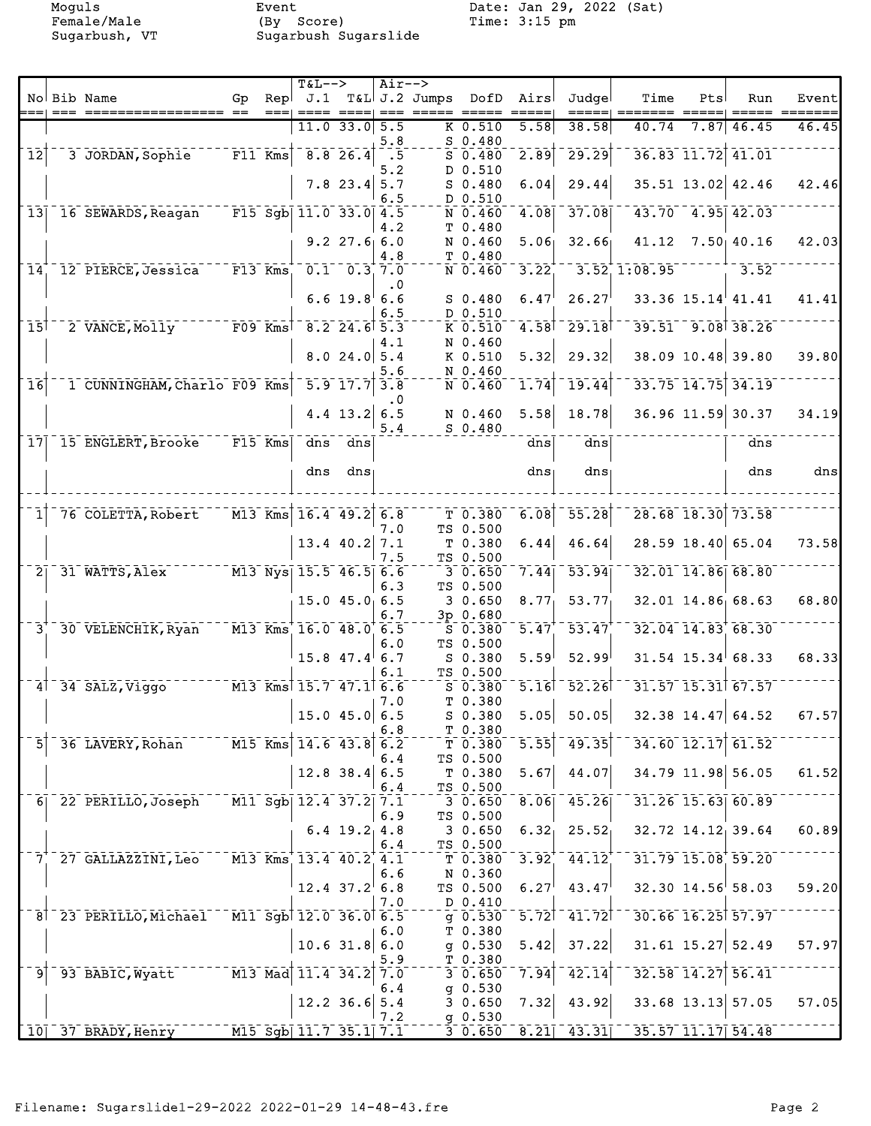Female/Male (By Score) Time: 3:15 pm Sugarbush, VT Sugarbush Sugarslide

Moguls Event Event Date: Jan 29, 2022 (Sat)<br>Female/Male (By Score) Time: 3:15 pm

|                            |                                                      |                                               |      | $T&L-->$                                        |                   | $Air--$    |                         |                             |                   |                                 |                         |                   |                         |                                                                           |
|----------------------------|------------------------------------------------------|-----------------------------------------------|------|-------------------------------------------------|-------------------|------------|-------------------------|-----------------------------|-------------------|---------------------------------|-------------------------|-------------------|-------------------------|---------------------------------------------------------------------------|
|                            | No Bib Name                                          | Gp                                            | Repl | J.1                                             |                   |            | T&L J.2 Jumps DofD Airs |                             |                   | Judgel                          | Time                    | Pts               | Run                     | Event                                                                     |
|                            |                                                      |                                               | $==$ | $== == =$                                       | $11.0$ 33.0 5.5   |            | ====  === ===== =====   | $K$ 0.510                   | 5.58              | =====<br>38.58                  | 40.74                   |                   | $7.87$   46.45          | $\qquad \qquad \equiv \equiv \equiv \equiv \equiv \equiv \equiv$<br>46.45 |
|                            |                                                      |                                               |      |                                                 |                   | 5.8        |                         | $S$ 0.480                   |                   |                                 |                         |                   |                         |                                                                           |
| $\overline{1}\overline{2}$ | 3 JORDAN, Sophie                                     | $\overline{F11}$ Kms $\overline{\overline{}}$ |      | 8.826.4                                         |                   | $\cdot$ 5  |                         | $S$ 0.480                   | 2.89              | 29.29                           |                         | 36.83 11.72 41.01 |                         |                                                                           |
|                            |                                                      |                                               |      |                                                 |                   | 5.2        |                         | D 0.510                     |                   |                                 |                         |                   |                         |                                                                           |
|                            |                                                      |                                               |      |                                                 | $7.8$ 23.4 5.7    |            |                         | $S$ 0.480                   | 6.04              | 29.44                           |                         |                   | 35.51 13.02 42.46       | 42.46                                                                     |
|                            |                                                      |                                               |      |                                                 |                   | 6.5        |                         | D 0.510                     |                   |                                 |                         |                   |                         |                                                                           |
| 13                         | 16 SEWARDS, Reagan F15 Sgb 11.0 33.0 4.5             |                                               |      |                                                 |                   |            |                         | $N$ 0.460                   | 4.08              | 37.08                           |                         |                   | 43.70 4.95 42.03        |                                                                           |
|                            |                                                      |                                               |      |                                                 |                   | 4.2        |                         | T 0.480                     |                   |                                 |                         |                   |                         |                                                                           |
|                            |                                                      |                                               |      |                                                 | $9.2$ 27.6 6.0    |            |                         | N 0.460                     | 5.06              | 32.66                           |                         |                   | 41.12 7.50 40.16        | 42.03                                                                     |
|                            |                                                      |                                               |      |                                                 |                   | 4.8        |                         | T 0.480                     | $3.22^{+}$        |                                 |                         |                   | 3.52                    |                                                                           |
| 14 <sup>1</sup>            | 12 PIERCE, Jessica F13 Kms 0.1 0.3 7.0               |                                               |      |                                                 |                   |            |                         | $N$ 0.460                   |                   |                                 | $-3.52, 1.08.95$        |                   |                         |                                                                           |
|                            |                                                      |                                               |      |                                                 | $6.6$ 19.8 6.6    | $\cdot$ 0  |                         | $S$ 0.480                   | 6.47              | 26.27                           |                         |                   | $33.36$ $15.14$ $41.41$ | 41.41                                                                     |
|                            |                                                      |                                               |      |                                                 |                   | 6.5        |                         | D 0.510                     |                   |                                 |                         |                   |                         |                                                                           |
| $\overline{15}$            | 2 VANCE, Molly F09 Kms                               |                                               |      | $8.2$ 24.6 5.3                                  |                   |            |                         | $K$ 0.510                   |                   | $4.58$ <sup>1</sup> 29.18       |                         |                   | $39.51 - 9.08$ 38.26    |                                                                           |
|                            |                                                      |                                               |      |                                                 |                   | 4.1        |                         | N 0.460                     |                   |                                 |                         |                   |                         |                                                                           |
|                            |                                                      |                                               |      |                                                 | 8.024.05.4        |            |                         | K 0.510                     | 5.32              | 29.32                           |                         |                   | 38.09 10.48 39.80       | 39.80                                                                     |
|                            |                                                      |                                               |      |                                                 |                   | 5.6        |                         | N 0.460                     |                   |                                 |                         |                   |                         |                                                                           |
| $\overline{1}$ 6           | 1 CUNNINGHAM, Charlo F09 Kms                         |                                               |      | $-5.9$ 17.7 3.8                                 |                   |            |                         | N 0.460                     | 1.74              | 19.44                           |                         |                   | 33.75 14.75 34.19       |                                                                           |
|                            |                                                      |                                               |      |                                                 |                   | $\cdot$ 0  |                         |                             |                   |                                 |                         |                   |                         |                                                                           |
|                            |                                                      |                                               |      |                                                 | 4.4 $13.2$ 6.5    | 5.4        |                         | N 0.460                     | 5.58              | 18.78                           |                         |                   | 36.96 11.59 30.37       | 34.19                                                                     |
| 17                         | 15 ENGLERT, Brooke F15 Kms                           |                                               |      | dns dns                                         |                   |            |                         | $S = 0.480$                 | dns               | dns                             |                         |                   | dns                     |                                                                           |
|                            |                                                      |                                               |      |                                                 |                   |            |                         |                             |                   |                                 |                         |                   |                         |                                                                           |
|                            |                                                      |                                               |      | dns                                             | dns               |            |                         |                             | $dns_1$           | dns                             |                         |                   | dns                     | $\frac{d}{ds}$                                                            |
|                            |                                                      |                                               |      |                                                 |                   |            |                         |                             |                   |                                 |                         |                   |                         |                                                                           |
|                            |                                                      |                                               |      |                                                 |                   |            |                         |                             |                   |                                 |                         |                   |                         |                                                                           |
| 1 <sup>1</sup>             | 76 COLETTA, Robert                                   |                                               |      | M13 Kms 16.4 49.2 6.8                           |                   |            |                         |                             |                   | $T$ 0.380 6.08 55.28            |                         |                   | 28.68 18.30 73.58       |                                                                           |
|                            |                                                      |                                               |      |                                                 |                   | 7.0        |                         | TS 0.500                    |                   |                                 |                         |                   |                         |                                                                           |
|                            |                                                      |                                               |      |                                                 | $13.4$ 40.2       | 7.1        |                         | T <sub>0.380</sub>          | 6.44              | 46.64                           |                         |                   | 28.59 18.40 65.04       | 73.58                                                                     |
| $\overline{2}$             | 31 WATTS, Alex M13 Nys 15.5 46.5 6.6                 |                                               |      |                                                 |                   | 7.5        |                         | TS 0.500<br>3 0.650         | 7.44              | $\overline{53.94}$              |                         |                   | 32.01 14.86 68.80       |                                                                           |
|                            |                                                      |                                               |      |                                                 |                   | 6.3        |                         | TS 0.500                    |                   |                                 |                         |                   |                         |                                                                           |
|                            |                                                      |                                               |      |                                                 | $15.0$ $45.0$ 6.5 |            |                         | 30.650                      | 8.77 <sub>1</sub> | $53.77_1$                       |                         |                   | 32.01 14.86 68.63       | 68.80                                                                     |
|                            |                                                      |                                               |      |                                                 |                   | 6.7        |                         | 3p 0.680                    |                   |                                 |                         |                   |                         |                                                                           |
| $3^{\circ}$                | 30 VELENCHIK, Ryan M13 Kms 16.0 48.0 6.5             |                                               |      |                                                 |                   |            |                         | S 0.380                     | $\overline{5.47}$ | 53.47                           |                         |                   | 32.04 14.83 68.30       |                                                                           |
|                            |                                                      |                                               |      |                                                 |                   | 6.0        |                         | TS 0.500                    |                   |                                 |                         |                   |                         |                                                                           |
|                            |                                                      |                                               |      | $15.8$ 47.4 6.7                                 |                   |            |                         | S 0.380                     | 5.59              | 52.99                           |                         |                   | $31.54$ $15.34$ 68.33   | 68.33                                                                     |
|                            |                                                      |                                               |      |                                                 |                   | 6.1        |                         | TS 0.500                    |                   |                                 |                         |                   |                         |                                                                           |
|                            | $4^{\dagger}$ 34 SALZ, Viggo $M13$ Kms 15.7 47.1 6.6 |                                               |      |                                                 |                   |            |                         | $S$ 0.380                   |                   | $5.16$ <sup>-</sup> $52.26$     |                         |                   | 31.57 15.31 67.57       |                                                                           |
|                            |                                                      |                                               |      |                                                 | $15.0$ 45.0 6.5   | 7.0        |                         | T 0.380                     |                   | $S$ 0.380 5.05 50.05            |                         |                   | $32.38$ 14.47 64.52     | 67.57                                                                     |
|                            |                                                      |                                               |      |                                                 |                   | 6.8        |                         | T 0.380                     |                   |                                 |                         |                   |                         |                                                                           |
| 51                         | 36 LAVERY, Rohan                                     |                                               |      | $\text{M15}$ Kms 14.6 43.8                      |                   | 6.2        |                         | $T$ 0.380                   | $\overline{5.55}$ | 49.35                           |                         |                   | $34.60$ $12.17$ $61.52$ |                                                                           |
|                            |                                                      |                                               |      |                                                 |                   | 6.4        |                         | TS 0.500                    |                   |                                 |                         |                   |                         |                                                                           |
|                            |                                                      |                                               |      |                                                 | $12.8$ 38.4 6.5   |            |                         | T 0.380                     | 5.67              | 44.07                           |                         |                   | 34.79 11.98 56.05       | 61.52                                                                     |
|                            |                                                      |                                               |      |                                                 |                   | 6.4        |                         | $TS_0.500$                  |                   |                                 |                         |                   |                         |                                                                           |
|                            | 6 22 PERILLO, Joseph                                 | M11 Sgb  12.4 37.2                            |      |                                                 |                   | 7.1        |                         | 3 0.650                     | 8.06              | $-45.26$                        |                         |                   | 31.26 15.63 60.89       |                                                                           |
|                            |                                                      |                                               |      |                                                 |                   | 6.9        |                         | TS 0.500                    | $6.32_1$          |                                 |                         |                   |                         | 60.89                                                                     |
|                            |                                                      |                                               |      |                                                 | $6.4$ 19.2 4.8    | 6.4        |                         | 3 0.650<br>TS 0.500         |                   | 25.52                           |                         |                   | $32.72$ $14.12$ 39.64   |                                                                           |
| 71                         | 27 GALLAZZINI, Leo                                   |                                               |      | M13 Kms 13.4 40.2 4.1                           |                   |            |                         | T0.380                      | $3.92+$           | $-44.12$ <sup>+</sup>           |                         |                   | 31.79 15.08 59.20       |                                                                           |
|                            |                                                      |                                               |      |                                                 |                   | 6.6        |                         | N 0.360                     |                   |                                 |                         |                   |                         |                                                                           |
|                            |                                                      |                                               |      |                                                 | $12.4$ 37.2 6.8   |            |                         | TS 0.500                    | 6.27              | 43.47                           |                         |                   | $32.30$ $14.56$ 58.03   | 59.20                                                                     |
|                            |                                                      |                                               |      |                                                 |                   | 7.0        |                         | D 0.410                     |                   |                                 |                         |                   |                         |                                                                           |
|                            | 8 23 PERILLO, Michael                                |                                               |      | $\overline{M11}$ Sgb $\overline{12.0}$ 36.0 6.5 |                   |            |                         | $q = 0.530$                 |                   | $5.72$ <sup>1</sup> $41.72$     |                         |                   | 30.66 16.25 57.97       |                                                                           |
|                            |                                                      |                                               |      |                                                 |                   | 6.0        |                         | T 0.380                     |                   |                                 |                         |                   |                         |                                                                           |
|                            |                                                      |                                               |      |                                                 | $10.6$ 31.8 6.0   |            |                         | g 0.530                     | 5.42              | 37.22                           |                         |                   | $31.61$ $15.27$ $52.49$ | 57.97                                                                     |
| 9                          | 93 BABIC, Wyatt                                      |                                               |      | M13 Mad 11.4 34.2                               |                   | 5.9<br>7.0 |                         | $T_{-}T_{-}0.380$<br>30.650 | 7.94              | $\overline{42.14}$              |                         |                   | 32.58 14.27 56.41       |                                                                           |
|                            |                                                      |                                               |      |                                                 |                   | 6.4        |                         | $g$ 0.530                   |                   |                                 |                         |                   |                         |                                                                           |
|                            |                                                      |                                               |      |                                                 | $12.2$ 36.6       | 5.4        |                         | 30.650                      | 7.32              | 43.92                           |                         |                   | $33.68$ 13.13 57.05     | 57.05                                                                     |
|                            |                                                      |                                               |      |                                                 |                   | 7.2        |                         | $g$ 0.530                   |                   |                                 |                         |                   |                         |                                                                           |
|                            | 10 37 BRADY, Henry                                   | $\sqrt{M15}$ Sgb $11.7$ 35.1 7.1              |      |                                                 |                   |            |                         |                             |                   | $\overline{3}$ 0.650 8.21 43.31 | $35.57$ $11.17$ $54.48$ |                   |                         |                                                                           |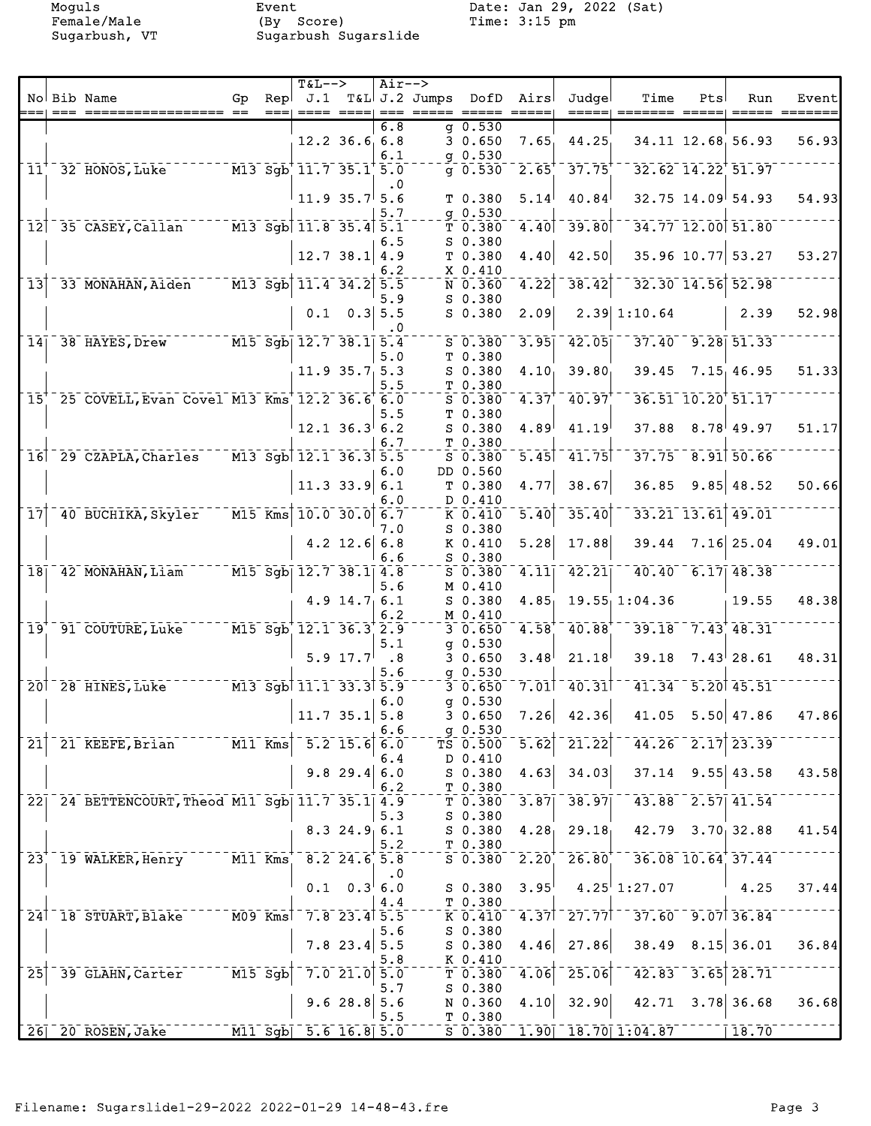Female/Male (By Score) Time: 3:15 pm Sugarbush, VT Sugarbush Sugarslide

Moguls Event Date: Jan 29, 2022 (Sat)<br>Female/Male (By Score) Time: 3:15 pm

|                              |                                                   |    |      | $T&L-->$                                         |                        | Air-->                      |                                                                                                                                                                                                                                                                                                                                                                                                                                                                                     |                                         |                                                                                                                                                                                                                                                                                                                                                                                                                                                                                 |                           |                                                               |                        |                         |       |
|------------------------------|---------------------------------------------------|----|------|--------------------------------------------------|------------------------|-----------------------------|-------------------------------------------------------------------------------------------------------------------------------------------------------------------------------------------------------------------------------------------------------------------------------------------------------------------------------------------------------------------------------------------------------------------------------------------------------------------------------------|-----------------------------------------|---------------------------------------------------------------------------------------------------------------------------------------------------------------------------------------------------------------------------------------------------------------------------------------------------------------------------------------------------------------------------------------------------------------------------------------------------------------------------------|---------------------------|---------------------------------------------------------------|------------------------|-------------------------|-------|
|                              | No Bib Name                                       | Gp | Repl |                                                  |                        |                             | $J.1$ T&L $J.2$ Jumps                                                                                                                                                                                                                                                                                                                                                                                                                                                               | DofD                                    | Airs                                                                                                                                                                                                                                                                                                                                                                                                                                                                            | Judgel                    | Time                                                          | Pts                    | Run                     | Event |
|                              |                                                   |    | $==$ |                                                  | $== == = == =$         |                             | $\begin{tabular}{lllllllllllll} \multicolumn{2}{l}{{\color{red}x}} & \multicolumn{2}{l}{\color{blue}x} & \multicolumn{2}{l}{\color{blue}x} & \multicolumn{2}{l}{\color{blue}x} & \multicolumn{2}{l}{\color{blue}x} & \multicolumn{2}{l}{\color{blue}x} & \multicolumn{2}{l}{\color{blue}x} & \multicolumn{2}{l}{\color{blue}x} & \multicolumn{2}{l}{\color{blue}x} & \multicolumn{2}{l}{\color{blue}x} & \multicolumn{2}{l}{\color{blue}x} & \multicolumn{2}{l}{\color{blue}x} & \$ |                                         | $\qquad \qquad \doteq \qquad \qquad \doteq \qquad \qquad \doteq \qquad \qquad \doteq \qquad \qquad \doteq \qquad \qquad \doteq \qquad \qquad \doteq \qquad \qquad \doteq \qquad \qquad \doteq \qquad \qquad \doteq \qquad \qquad \doteq \qquad \qquad \doteq \qquad \qquad \doteq \qquad \qquad \doteq \qquad \qquad \doteq \qquad \qquad \doteq \qquad \qquad \doteq \qquad \qquad \doteq \qquad \qquad \doteq \qquad \qquad \doteq \qquad \qquad \doteq \qquad \qquad \doteq$ | =====                     |                                                               |                        |                         |       |
|                              |                                                   |    |      |                                                  |                        | 6.8                         |                                                                                                                                                                                                                                                                                                                                                                                                                                                                                     | $q$ 0.530                               |                                                                                                                                                                                                                                                                                                                                                                                                                                                                                 |                           |                                                               |                        |                         |       |
|                              |                                                   |    |      |                                                  | $12.2$ 36.6 6.8        |                             |                                                                                                                                                                                                                                                                                                                                                                                                                                                                                     | 30.650                                  | 7.65                                                                                                                                                                                                                                                                                                                                                                                                                                                                            | 44.25                     |                                                               |                        | 34.11 12.68 56.93       | 56.93 |
|                              |                                                   |    |      |                                                  |                        | 6.1                         |                                                                                                                                                                                                                                                                                                                                                                                                                                                                                     | $g$ 0.530                               |                                                                                                                                                                                                                                                                                                                                                                                                                                                                                 |                           |                                                               |                        |                         |       |
| $11^{\circ}$                 | 32 HONOS, Luke                                    |    |      | $M3$ Sgb <sup>+</sup> 11.7 35.1 <sup>+</sup> 5.0 |                        |                             |                                                                                                                                                                                                                                                                                                                                                                                                                                                                                     | $g$ 0.530                               |                                                                                                                                                                                                                                                                                                                                                                                                                                                                                 | $2.65^{+ -} 37.75^{+}$    |                                                               |                        | $32.62$ $14.22$ $51.97$ |       |
|                              |                                                   |    |      |                                                  |                        | $\cdot$ 0                   |                                                                                                                                                                                                                                                                                                                                                                                                                                                                                     |                                         |                                                                                                                                                                                                                                                                                                                                                                                                                                                                                 |                           |                                                               |                        |                         |       |
|                              |                                                   |    |      | 11.9 35.7 5.6                                    |                        |                             |                                                                                                                                                                                                                                                                                                                                                                                                                                                                                     | T 0.380                                 | 5.14                                                                                                                                                                                                                                                                                                                                                                                                                                                                            | 40.84                     |                                                               |                        | $32.75$ 14.09 54.93     | 54.93 |
|                              |                                                   |    |      |                                                  |                        | 5.7                         |                                                                                                                                                                                                                                                                                                                                                                                                                                                                                     | $q$ 0.530                               |                                                                                                                                                                                                                                                                                                                                                                                                                                                                                 |                           |                                                               |                        |                         |       |
| 12                           | 35 CASEY, Callan M13 Sgb 11.8 35.4 5.1            |    |      |                                                  |                        |                             |                                                                                                                                                                                                                                                                                                                                                                                                                                                                                     | T 0.380                                 | 4.40                                                                                                                                                                                                                                                                                                                                                                                                                                                                            | $-39.80$                  |                                                               |                        | 34.77 12.00 51.80       |       |
|                              |                                                   |    |      |                                                  |                        | 6.5                         |                                                                                                                                                                                                                                                                                                                                                                                                                                                                                     | $S$ 0.380                               |                                                                                                                                                                                                                                                                                                                                                                                                                                                                                 |                           |                                                               |                        |                         |       |
|                              |                                                   |    |      |                                                  | 12.7 38.1   4.9        |                             |                                                                                                                                                                                                                                                                                                                                                                                                                                                                                     | T0.380                                  | 4.40                                                                                                                                                                                                                                                                                                                                                                                                                                                                            | 42.50                     |                                                               |                        | 35.96 10.77 53.27       | 53.27 |
|                              |                                                   |    |      |                                                  |                        | 6.2                         |                                                                                                                                                                                                                                                                                                                                                                                                                                                                                     | $X_0.410$                               |                                                                                                                                                                                                                                                                                                                                                                                                                                                                                 |                           |                                                               |                        |                         |       |
| $\overline{13}$              | 33 MONAHAN, Aiden                                 |    |      | $^{\circ}$ M13 Sgb  11.4 34.2                    |                        | 5.5                         |                                                                                                                                                                                                                                                                                                                                                                                                                                                                                     | N 0.360                                 | $\overline{4.22}$                                                                                                                                                                                                                                                                                                                                                                                                                                                               | 38.42                     |                                                               |                        | 32.30 14.56 52.98       |       |
|                              |                                                   |    |      |                                                  |                        | 5.9                         |                                                                                                                                                                                                                                                                                                                                                                                                                                                                                     | $S$ 0.380                               |                                                                                                                                                                                                                                                                                                                                                                                                                                                                                 |                           |                                                               |                        |                         |       |
|                              |                                                   |    |      |                                                  |                        |                             |                                                                                                                                                                                                                                                                                                                                                                                                                                                                                     | $S$ 0.380                               | 2.09                                                                                                                                                                                                                                                                                                                                                                                                                                                                            |                           | 2.39   1:10.64                                                |                        | 2.39                    | 52.98 |
|                              |                                                   |    |      |                                                  | $0.1 \quad 0.3 \, 5.5$ |                             |                                                                                                                                                                                                                                                                                                                                                                                                                                                                                     |                                         |                                                                                                                                                                                                                                                                                                                                                                                                                                                                                 |                           |                                                               |                        |                         |       |
|                              |                                                   |    |      |                                                  |                        | $\cdot$ 0                   |                                                                                                                                                                                                                                                                                                                                                                                                                                                                                     |                                         |                                                                                                                                                                                                                                                                                                                                                                                                                                                                                 |                           |                                                               |                        |                         |       |
| 14                           | 38 HAYES, Drew M15 Sgb 12.7 38.1 5.4              |    |      |                                                  |                        |                             |                                                                                                                                                                                                                                                                                                                                                                                                                                                                                     | $S$ 0.380                               | 3.95                                                                                                                                                                                                                                                                                                                                                                                                                                                                            | 42.05                     |                                                               |                        | $37.40 - 9.28$ 51.33    |       |
|                              |                                                   |    |      |                                                  |                        | 5.0                         |                                                                                                                                                                                                                                                                                                                                                                                                                                                                                     | T 0.380                                 |                                                                                                                                                                                                                                                                                                                                                                                                                                                                                 |                           |                                                               |                        |                         |       |
|                              |                                                   |    |      |                                                  | $11.9$ 35.7 5.3        |                             |                                                                                                                                                                                                                                                                                                                                                                                                                                                                                     | $S$ 0.380                               | 4.10 <sub>1</sub>                                                                                                                                                                                                                                                                                                                                                                                                                                                               | 39.80                     | 39.45                                                         |                        | 7.15, 46.95             | 51.33 |
|                              |                                                   |    |      |                                                  |                        | 5.5                         |                                                                                                                                                                                                                                                                                                                                                                                                                                                                                     | T 0.380                                 |                                                                                                                                                                                                                                                                                                                                                                                                                                                                                 |                           |                                                               |                        |                         |       |
| $\overline{15}^{\dagger}$    | 25 COVELL, Evan Covel M13 Kms 12.2 36.6 6.0       |    |      |                                                  |                        |                             |                                                                                                                                                                                                                                                                                                                                                                                                                                                                                     | $S$ 0.380                               | $4.37+$                                                                                                                                                                                                                                                                                                                                                                                                                                                                         | 40.97                     |                                                               |                        | 36.51 10.20 51.17       |       |
|                              |                                                   |    |      |                                                  |                        | 5.5                         |                                                                                                                                                                                                                                                                                                                                                                                                                                                                                     | T 0.380                                 |                                                                                                                                                                                                                                                                                                                                                                                                                                                                                 |                           |                                                               |                        |                         |       |
|                              |                                                   |    |      |                                                  | $12.1$ 36.3 6.2        |                             |                                                                                                                                                                                                                                                                                                                                                                                                                                                                                     | $S$ 0.380                               | 4.89                                                                                                                                                                                                                                                                                                                                                                                                                                                                            | 41.19                     |                                                               |                        | $37.88$ $8.78$ 49.97    | 51.17 |
|                              |                                                   |    |      |                                                  |                        | 6.7                         |                                                                                                                                                                                                                                                                                                                                                                                                                                                                                     | T 0.380                                 |                                                                                                                                                                                                                                                                                                                                                                                                                                                                                 |                           |                                                               |                        |                         |       |
|                              | 16 29 CZAPLA, Charles M13 Sqb 12.1 36.3 5.5       |    |      |                                                  |                        |                             |                                                                                                                                                                                                                                                                                                                                                                                                                                                                                     | $S$ 0.380                               | $\overline{5.45}$                                                                                                                                                                                                                                                                                                                                                                                                                                                               | $-41.75$                  |                                                               | $37.75 - 8.91$ 50.66   |                         |       |
|                              |                                                   |    |      |                                                  |                        | 6.0                         |                                                                                                                                                                                                                                                                                                                                                                                                                                                                                     | DD 0.560                                |                                                                                                                                                                                                                                                                                                                                                                                                                                                                                 |                           |                                                               |                        |                         |       |
|                              |                                                   |    |      |                                                  | $11.3$ 33.9 6.1        |                             |                                                                                                                                                                                                                                                                                                                                                                                                                                                                                     | T <sub>0.380</sub>                      | 4.77                                                                                                                                                                                                                                                                                                                                                                                                                                                                            | 38.67                     | 36.85                                                         |                        | $9.85$ 48.52            | 50.66 |
|                              |                                                   |    |      |                                                  |                        | 6.0                         |                                                                                                                                                                                                                                                                                                                                                                                                                                                                                     | D 0.410                                 |                                                                                                                                                                                                                                                                                                                                                                                                                                                                                 |                           |                                                               |                        |                         |       |
| $\overline{17}$              | 40 BUCHIKA, Skyler                                |    |      | $\overline{M15}$ Kms 10.0 30.0 6.7               |                        |                             |                                                                                                                                                                                                                                                                                                                                                                                                                                                                                     | $K$ 0.410                               | $\overline{5.40}$                                                                                                                                                                                                                                                                                                                                                                                                                                                               | 35.40                     |                                                               |                        | 33.21 13.61 49.01       |       |
|                              |                                                   |    |      |                                                  |                        | 7.0                         |                                                                                                                                                                                                                                                                                                                                                                                                                                                                                     | $S$ 0.380                               |                                                                                                                                                                                                                                                                                                                                                                                                                                                                                 |                           |                                                               |                        |                         |       |
|                              |                                                   |    |      |                                                  | $4.2$ 12.6 6.8         |                             |                                                                                                                                                                                                                                                                                                                                                                                                                                                                                     | K 0.410                                 | 5.28                                                                                                                                                                                                                                                                                                                                                                                                                                                                            | 17.88                     | 39.44                                                         |                        | $7.16$ 25.04            | 49.01 |
|                              |                                                   |    |      |                                                  |                        | 6.6                         |                                                                                                                                                                                                                                                                                                                                                                                                                                                                                     | $S$ 0.380                               |                                                                                                                                                                                                                                                                                                                                                                                                                                                                                 |                           |                                                               |                        |                         |       |
| $\overline{18}$              | 42 MONAHAN, Liam M15 Sgb 12.7 38.1 4.8            |    |      |                                                  |                        |                             |                                                                                                                                                                                                                                                                                                                                                                                                                                                                                     | $S$ 0.380                               | 4.11                                                                                                                                                                                                                                                                                                                                                                                                                                                                            | 42.21                     |                                                               | $40.40 - 6.17$ $48.38$ |                         |       |
|                              |                                                   |    |      |                                                  |                        | 5.6                         |                                                                                                                                                                                                                                                                                                                                                                                                                                                                                     | M 0.410                                 |                                                                                                                                                                                                                                                                                                                                                                                                                                                                                 |                           |                                                               |                        |                         |       |
|                              |                                                   |    |      |                                                  | $4.9$ 14.7 6.1         |                             |                                                                                                                                                                                                                                                                                                                                                                                                                                                                                     | $S$ 0.380                               | 4.85                                                                                                                                                                                                                                                                                                                                                                                                                                                                            |                           | $19.55$ , $1:04.36$                                           |                        | 19.55                   | 48.38 |
|                              |                                                   |    |      |                                                  |                        | 6.2                         |                                                                                                                                                                                                                                                                                                                                                                                                                                                                                     | M 0.410                                 |                                                                                                                                                                                                                                                                                                                                                                                                                                                                                 |                           |                                                               |                        |                         |       |
| $\overline{19}$              | 91 COUTURE, Luke                                  |    |      | $M15$ Sgb $12.1$ 36.3 2.9                        |                        |                             |                                                                                                                                                                                                                                                                                                                                                                                                                                                                                     | $3\ 0.650$                              | 4.58                                                                                                                                                                                                                                                                                                                                                                                                                                                                            | 40.88                     |                                                               |                        | $39.18 - 7.43 + 48.31$  |       |
|                              |                                                   |    |      |                                                  |                        |                             |                                                                                                                                                                                                                                                                                                                                                                                                                                                                                     |                                         |                                                                                                                                                                                                                                                                                                                                                                                                                                                                                 |                           |                                                               |                        |                         |       |
|                              |                                                   |    |      |                                                  |                        | 5.1                         |                                                                                                                                                                                                                                                                                                                                                                                                                                                                                     | $g$ 0.530                               |                                                                                                                                                                                                                                                                                                                                                                                                                                                                                 |                           |                                                               |                        |                         |       |
|                              |                                                   |    |      |                                                  | $5.9 \; 17.7$          | $\overline{\phantom{0}}$ .8 |                                                                                                                                                                                                                                                                                                                                                                                                                                                                                     | 30.650                                  | 3.48                                                                                                                                                                                                                                                                                                                                                                                                                                                                            | 21.18                     | 39.18                                                         |                        | $7.43 \, 28.61$         | 48.31 |
|                              |                                                   |    |      |                                                  |                        | 5.6                         |                                                                                                                                                                                                                                                                                                                                                                                                                                                                                     | $g$ 0.530                               |                                                                                                                                                                                                                                                                                                                                                                                                                                                                                 |                           |                                                               |                        |                         |       |
|                              | $M13$ Sqbt 11.1 33.3 5.9<br>20 28 HINES, Luke     |    |      |                                                  |                        |                             |                                                                                                                                                                                                                                                                                                                                                                                                                                                                                     | $3\overline{0.650}$                     |                                                                                                                                                                                                                                                                                                                                                                                                                                                                                 | $7.01$ <sup>-</sup> 40.31 |                                                               |                        | $41.34 - 5.20$ $45.51$  |       |
|                              |                                                   |    |      |                                                  |                        | 6.0                         |                                                                                                                                                                                                                                                                                                                                                                                                                                                                                     | $q$ 0.530                               |                                                                                                                                                                                                                                                                                                                                                                                                                                                                                 |                           |                                                               |                        |                         |       |
|                              |                                                   |    |      | $11.7$ 35.1 5.8                                  |                        |                             |                                                                                                                                                                                                                                                                                                                                                                                                                                                                                     | 30.650                                  |                                                                                                                                                                                                                                                                                                                                                                                                                                                                                 | $7.26$ 42.36              | 41.05                                                         |                        | 5.50   47.86            | 47.86 |
|                              |                                                   |    |      |                                                  |                        | 6.6                         |                                                                                                                                                                                                                                                                                                                                                                                                                                                                                     | $g$ 0.530                               |                                                                                                                                                                                                                                                                                                                                                                                                                                                                                 |                           |                                                               |                        |                         |       |
| $\overline{21}$              | 21 KEEFE, Brian M11 Kms                           |    |      |                                                  | $5.2$ 15.6             | 6.0                         |                                                                                                                                                                                                                                                                                                                                                                                                                                                                                     | TS 0.500                                | $\overline{5.62}$                                                                                                                                                                                                                                                                                                                                                                                                                                                               | $\overline{21.22}$        |                                                               |                        | $44.26 - 2.17$ 23.39    |       |
|                              |                                                   |    |      |                                                  |                        | 6.4                         |                                                                                                                                                                                                                                                                                                                                                                                                                                                                                     | D 0.410                                 |                                                                                                                                                                                                                                                                                                                                                                                                                                                                                 |                           |                                                               |                        |                         |       |
|                              |                                                   |    |      |                                                  | $9.8$ 29.4             | 6.0                         |                                                                                                                                                                                                                                                                                                                                                                                                                                                                                     | S 0.380                                 | 4.63                                                                                                                                                                                                                                                                                                                                                                                                                                                                            | 34.03                     | 37.14                                                         |                        | $9.55$ 43.58            | 43.58 |
|                              |                                                   |    |      |                                                  |                        | 6.2                         |                                                                                                                                                                                                                                                                                                                                                                                                                                                                                     | T 0.380                                 |                                                                                                                                                                                                                                                                                                                                                                                                                                                                                 |                           |                                                               |                        |                         |       |
|                              | 22  24 BETTENCOURT, Theod M11 Sgb  11.7 35.1  4.9 |    |      |                                                  |                        |                             |                                                                                                                                                                                                                                                                                                                                                                                                                                                                                     | $T$ 0.380 3.87                          |                                                                                                                                                                                                                                                                                                                                                                                                                                                                                 | $-38.97$                  | $-43.88$ $2.57$ $41.54$                                       |                        |                         |       |
|                              |                                                   |    |      |                                                  |                        | 5.3                         |                                                                                                                                                                                                                                                                                                                                                                                                                                                                                     | $S$ 0.380                               |                                                                                                                                                                                                                                                                                                                                                                                                                                                                                 |                           |                                                               |                        |                         |       |
|                              |                                                   |    |      |                                                  | 8.324.96.1             |                             |                                                                                                                                                                                                                                                                                                                                                                                                                                                                                     | S 0.380                                 | 4.28 <sub>1</sub>                                                                                                                                                                                                                                                                                                                                                                                                                                                               | 29.18                     | $42.79$ $3.70$ $32.88$                                        |                        |                         | 41.54 |
|                              |                                                   |    |      |                                                  |                        | 5.2                         |                                                                                                                                                                                                                                                                                                                                                                                                                                                                                     | T 0.380                                 |                                                                                                                                                                                                                                                                                                                                                                                                                                                                                 |                           |                                                               |                        |                         |       |
| $\overline{2}3$ <sup>+</sup> | 19 WALKER, Henry M11 Kms 8.2 24.6 5.8             |    |      |                                                  |                        |                             |                                                                                                                                                                                                                                                                                                                                                                                                                                                                                     | $5\overline{0.380}$ $2.20$ <sup>+</sup> |                                                                                                                                                                                                                                                                                                                                                                                                                                                                                 | $-26.80^{+}-$             |                                                               |                        | 36.08 10.64 37.44       |       |
|                              |                                                   |    |      |                                                  |                        | $\cdot$ 0                   |                                                                                                                                                                                                                                                                                                                                                                                                                                                                                     |                                         |                                                                                                                                                                                                                                                                                                                                                                                                                                                                                 |                           |                                                               |                        |                         |       |
|                              |                                                   |    |      |                                                  | $0.1 \quad 0.3 \, 6.0$ |                             |                                                                                                                                                                                                                                                                                                                                                                                                                                                                                     | $S_0.380$                               | $3.95^{\dagger}$                                                                                                                                                                                                                                                                                                                                                                                                                                                                |                           | $4.25^{\dagger}1:27.07$                                       |                        | 4.25                    | 37.44 |
|                              |                                                   |    |      |                                                  |                        | 4.4                         |                                                                                                                                                                                                                                                                                                                                                                                                                                                                                     | T 0.380                                 |                                                                                                                                                                                                                                                                                                                                                                                                                                                                                 |                           |                                                               |                        |                         |       |
|                              | 24 18 STUART, Blake M09 Kms                       |    |      |                                                  | $7.8$ 23.4 5.5         |                             |                                                                                                                                                                                                                                                                                                                                                                                                                                                                                     | K 0.410                                 |                                                                                                                                                                                                                                                                                                                                                                                                                                                                                 |                           | $4.37$ <sup>1</sup> $27.77$ <sup>1</sup> $37.60$ $9.07$ 36.84 |                        |                         |       |
|                              |                                                   |    |      |                                                  |                        | 5.6                         |                                                                                                                                                                                                                                                                                                                                                                                                                                                                                     | $S$ 0.380                               |                                                                                                                                                                                                                                                                                                                                                                                                                                                                                 |                           |                                                               |                        |                         |       |
|                              |                                                   |    |      |                                                  | $7.8$ 23.4 5.5         |                             |                                                                                                                                                                                                                                                                                                                                                                                                                                                                                     | S 0.380                                 | 4.46                                                                                                                                                                                                                                                                                                                                                                                                                                                                            | 27.86                     | 38.49                                                         |                        | $8.15$ 36.01            | 36.84 |
|                              |                                                   |    |      |                                                  |                        | 5.8                         |                                                                                                                                                                                                                                                                                                                                                                                                                                                                                     | $K_{0}$ . 410                           |                                                                                                                                                                                                                                                                                                                                                                                                                                                                                 |                           |                                                               |                        |                         |       |
| $\overline{25}$              | 39 GLAHN, Carter M15 Sgb                          |    |      |                                                  | $7.0$ 21.0             | 5.0                         |                                                                                                                                                                                                                                                                                                                                                                                                                                                                                     | T 0.380                                 | 4.06                                                                                                                                                                                                                                                                                                                                                                                                                                                                            | 25.06                     | $42.83^{-}$                                                   |                        | $3.65$ $28.71$          |       |
|                              |                                                   |    |      |                                                  |                        | 5.7                         |                                                                                                                                                                                                                                                                                                                                                                                                                                                                                     | $S$ 0.380                               |                                                                                                                                                                                                                                                                                                                                                                                                                                                                                 |                           |                                                               |                        |                         |       |
|                              |                                                   |    |      |                                                  |                        |                             |                                                                                                                                                                                                                                                                                                                                                                                                                                                                                     |                                         |                                                                                                                                                                                                                                                                                                                                                                                                                                                                                 |                           |                                                               |                        | $3.78$ 36.68            |       |
|                              |                                                   |    |      |                                                  | 9.628.8                | 5.6                         |                                                                                                                                                                                                                                                                                                                                                                                                                                                                                     | N 0.360                                 | 4.10                                                                                                                                                                                                                                                                                                                                                                                                                                                                            | 32.90                     | 42.71                                                         |                        |                         | 36.68 |
|                              |                                                   |    |      |                                                  |                        | 5.5                         |                                                                                                                                                                                                                                                                                                                                                                                                                                                                                     | T 0.380                                 |                                                                                                                                                                                                                                                                                                                                                                                                                                                                                 |                           |                                                               |                        |                         |       |
|                              | 26 20 ROSEN, Jake                                 |    |      | M11 Sgb 5.6 16.8 5.0                             |                        |                             |                                                                                                                                                                                                                                                                                                                                                                                                                                                                                     |                                         |                                                                                                                                                                                                                                                                                                                                                                                                                                                                                 |                           | $5\overline{0.380} - 1.90\overline{018.70} + 1.04.87$         |                        |                         |       |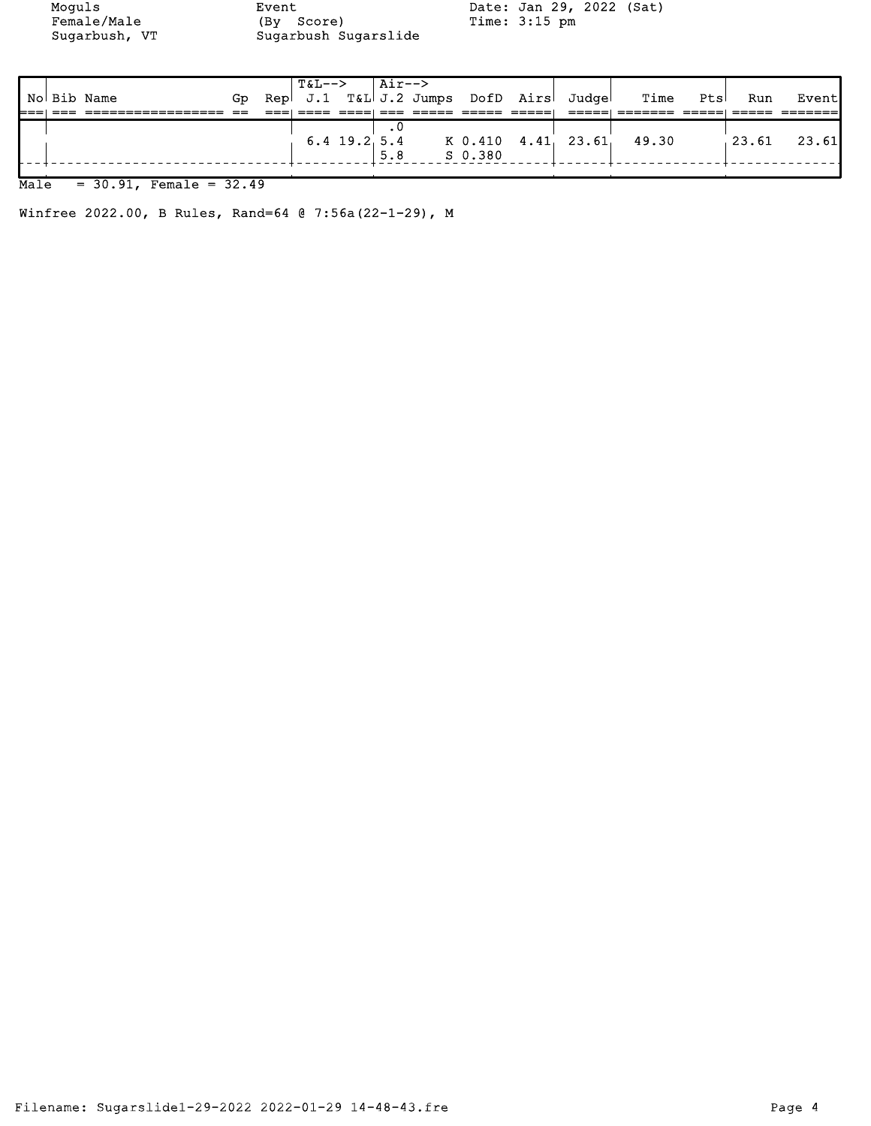Female/Male (By Score) Time: 3:15 pm Sugarbush, VT Sugarbush Sugarslide

Moguls Event Event Date: Jan 29, 2022 (Sat)<br>Female/Male (By Score) Time: 3:15 pm

|  |             |     | T&L-->   Air--> |     |         |                                       |                                       |     |                |
|--|-------------|-----|-----------------|-----|---------|---------------------------------------|---------------------------------------|-----|----------------|
|  | No Bib Name | Go. |                 |     |         | Rep J.1 T&L J.2 Jumps DofD Airs Judge | Time Pts                              | Run | Event          |
|  |             |     |                 |     |         |                                       |                                       |     |                |
|  |             |     |                 |     |         |                                       |                                       |     |                |
|  |             |     |                 |     |         |                                       | 6.4 19.2 5.4 K 0.410 4.41 23.61 49.30 |     | $123.61$ 23.61 |
|  |             |     |                 | 5.8 | S 0.380 |                                       |                                       |     |                |
|  |             |     |                 |     |         |                                       |                                       |     |                |

## Male = 30.91, Female = 32.49

Winfree 2022.00, B Rules, Rand=64 @ 7:56a(22-1-29), M